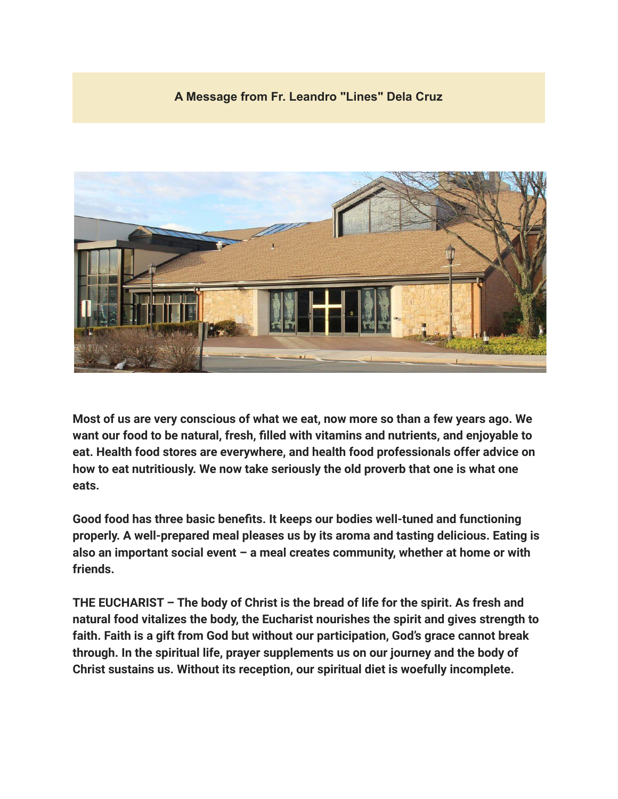## **A Message from Fr. Leandro "Lines" Dela Cruz**



**Most of us are very conscious of what we eat, now more so than a few years ago. We want our food to be natural, fresh, filled with vitamins and nutrients, and enjoyable to eat. Health food stores are everywhere, and health food professionals offer advice on how to eat nutritiously. We now take seriously the old proverb that one is what one eats.**

**Good food has three basic benefits. It keeps our bodies well-tuned and functioning properly. A well-prepared meal pleases us by its aroma and tasting delicious. Eating is also an important social event – a meal creates community, whether at home or with friends.**

**THE EUCHARIST – The body of Christ is the bread of life for the spirit. As fresh and natural food vitalizes the body, the Eucharist nourishes the spirit and gives strength to faith. Faith is a gift from God but without our participation, God's grace cannot break through. In the spiritual life, prayer supplements us on our journey and the body of Christ sustains us. Without its reception, our spiritual diet is woefully incomplete.**